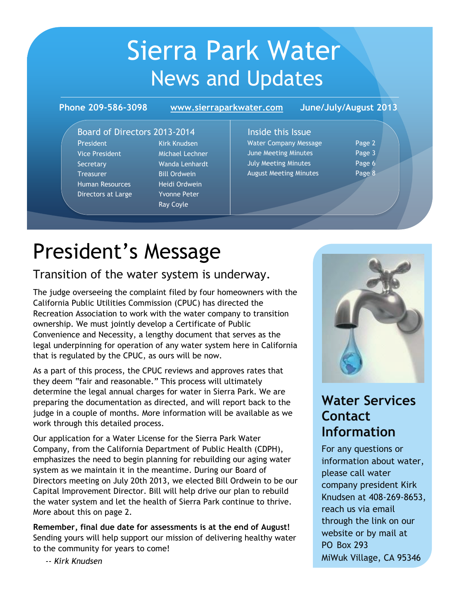# Sierra Park Water News and Updates

**Phone 209-586-3098 June/July/August 2013 www.sierraparkwater.com**

### Board of Directors 2013-2014

President Kirk Knudsen Vice President Michael Lechner Secretary Wanda Lenhardt Treasurer Bill Ordwein Human Resources Heidi Ordwein Directors at Large Yvonne Peter

Ray Coyle

### Inside this Issue Water Company Message Page 2 June Meeting Minutes **Page 3** July Meeting Minutes Page 6 August Meeting Minutes **Page 8**

# President's Message

### Transition of the water system is underway.

The judge overseeing the complaint filed by four homeowners with the California Public Utilities Commission (CPUC) has directed the Recreation Association to work with the water company to transition ownership. We must jointly develop a Certificate of Public Convenience and Necessity, a lengthy document that serves as the legal underpinning for operation of any water system here in California that is regulated by the CPUC, as ours will be now.

As a part of this process, the CPUC reviews and approves rates that they deem "fair and reasonable." This process will ultimately determine the legal annual charges for water in Sierra Park. We are preparing the documentation as directed, and will report back to the judge in a couple of months. More information will be available as we work through this detailed process.

Our application for a Water License for the Sierra Park Water Company, from the California Department of Public Health (CDPH), emphasizes the need to begin planning for rebuilding our aging water system as we maintain it in the meantime. During our Board of Directors meeting on July 20th 2013, we elected Bill Ordwein to be our Capital Improvement Director. Bill will help drive our plan to rebuild the water system and let the health of Sierra Park continue to thrive. More about this on page 2.

**Remember, final due date for assessments is at the end of August!** Sending yours will help support our mission of delivering healthy water to the community for years to come!



## **Water Services Contact Information**

For any questions or information about water, please call water company president Kirk Knudsen at 408-269-8653, reach us via email through the link on our website or by mail at PO Box 293 MiWuk Village, CA 95346

 *-- Kirk Knudsen*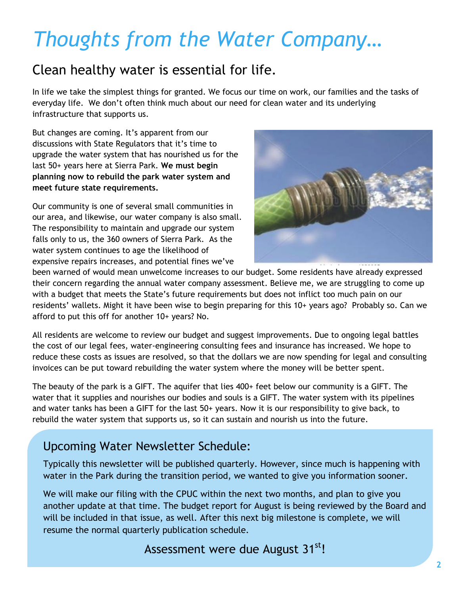## *Thoughts from the Water Company…*

## Clean healthy water is essential for life.

In life we take the simplest things for granted. We focus our time on work, our families and the tasks of everyday life. We don't often think much about our need for clean water and its underlying infrastructure that supports us.

But changes are coming. It's apparent from our discussions with State Regulators that it's time to upgrade the water system that has nourished us for the last 50+ years here at Sierra Park. **We must begin planning now to rebuild the park water system and meet future state requirements.**

Our community is one of several small communities in our area, and likewise, our water company is also small. The responsibility to maintain and upgrade our system falls only to us, the 360 owners of Sierra Park. As the water system continues to age the likelihood of expensive repairs increases, and potential fines we've



been warned of would mean unwelcome increases to our budget. Some residents have already expressed their concern regarding the annual water company assessment. Believe me, we are struggling to come up with a budget that meets the State's future requirements but does not inflict too much pain on our residents' wallets. Might it have been wise to begin preparing for this 10+ years ago? Probably so. Can we afford to put this off for another 10+ years? No.

All residents are welcome to review our budget and suggest improvements. Due to ongoing legal battles the cost of our legal fees, water-engineering consulting fees and insurance has increased. We hope to reduce these costs as issues are resolved, so that the dollars we are now spending for legal and consulting invoices can be put toward rebuilding the water system where the money will be better spent.

The beauty of the park is a GIFT. The aquifer that lies 400+ feet below our community is a GIFT. The water that it supplies and nourishes our bodies and souls is a GIFT. The water system with its pipelines and water tanks has been a GIFT for the last 50+ years. Now it is our responsibility to give back, to rebuild the water system that supports us, so it can sustain and nourish us into the future.

## Upcoming Water Newsletter Schedule:

Typically this newsletter will be published quarterly. However, since much is happening with water in the Park during the transition period, we wanted to give you information sooner.

We will make our filing with the CPUC within the next two months, and plan to give you another update at that time. The budget report for August is being reviewed by the Board and will be included in that issue, as well. After this next big milestone is complete, we will resume the normal quarterly publication schedule.

## Assessment were due August 31<sup>st</sup>!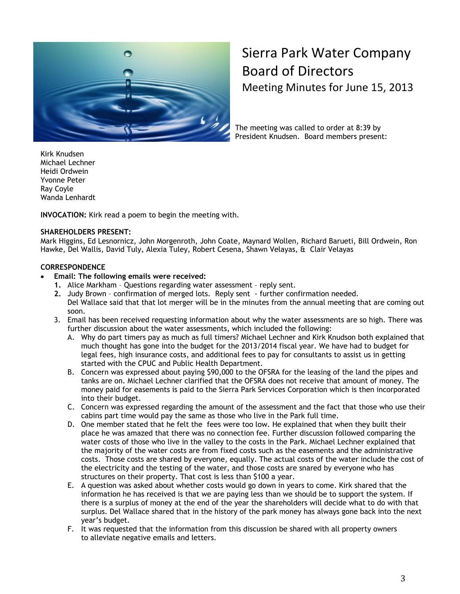

## Sierra Park Water Company Board of Directors Meeting Minutes for June 15, 2013

The meeting was called to order at 8:39 by President Knudsen. Board members present:

Kirk Knudsen Michael Lechner Heidi Ordwein Yvonne Peter Ray Coyle Wanda Lenhardt

**INVOCATION:** Kirk read a poem to begin the meeting with.

#### **SHAREHOLDERS PRESENT:**

Mark Higgins, Ed Lesnornicz, John Morgenroth, John Coate, Maynard Wollen, Richard Barueti, Bill Ordwein, Ron Hawke, Del Wallis, David Tuly, Alexia Tuley, Robert Cesena, Shawn Velayas, & Clair Velayas

#### **CORRESPONDENCE**

- **Email: The following emails were received:**
	- **1.** Alice Markham Questions regarding water assessment reply sent.
	- **2.** Judy Brown confirmation of merged lots. Reply sent further confirmation needed. Del Wallace said that that lot merger will be in the minutes from the annual meeting that are coming out soon.
	- 3. Email has been received requesting information about why the water assessments are so high. There was further discussion about the water assessments, which included the following:
		- A. Why do part timers pay as much as full timers? Michael Lechner and Kirk Knudson both explained that much thought has gone into the budget for the 2013/2014 fiscal year. We have had to budget for legal fees, high insurance costs, and additional fees to pay for consultants to assist us in getting started with the CPUC and Public Health Department.
		- B. Concern was expressed about paying \$90,000 to the OFSRA for the leasing of the land the pipes and tanks are on. Michael Lechner clarified that the OFSRA does not receive that amount of money. The money paid for easements is paid to the Sierra Park Services Corporation which is then incorporated into their budget.
		- C. Concern was expressed regarding the amount of the assessment and the fact that those who use their cabins part time would pay the same as those who live in the Park full time.
		- D. One member stated that he felt the fees were too low. He explained that when they built their place he was amazed that there was no connection fee. Further discussion followed comparing the water costs of those who live in the valley to the costs in the Park. Michael Lechner explained that the majority of the water costs are from fixed costs such as the easements and the administrative costs. Those costs are shared by everyone, equally. The actual costs of the water include the cost of the electricity and the testing of the water, and those costs are snared by everyone who has structures on their property. That cost is less than \$100 a year.
		- E. A question was asked about whether costs would go down in years to come. Kirk shared that the information he has received is that we are paying less than we should be to support the system. If there is a surplus of money at the end of the year the shareholders will decide what to do with that surplus. Del Wallace shared that in the history of the park money has always gone back into the next year's budget.
		- F. It was requested that the information from this discussion be shared with all property owners to alleviate negative emails and letters.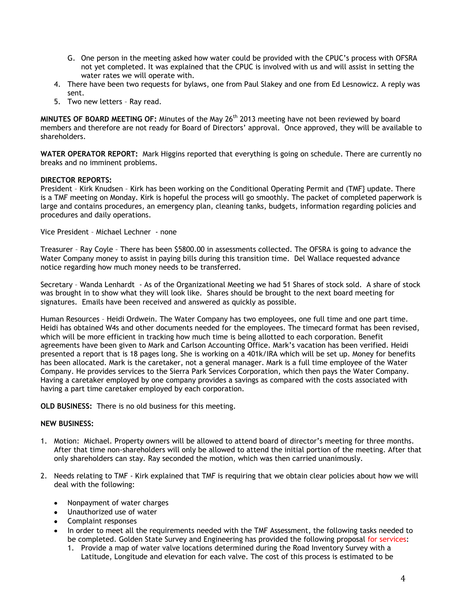- G. One person in the meeting asked how water could be provided with the CPUC's process with OFSRA not yet completed. It was explained that the CPUC is involved with us and will assist in setting the water rates we will operate with.
- 4. There have been two requests for bylaws, one from Paul Slakey and one from Ed Lesnowicz. A reply was sent.
- 5. Two new letters Ray read.

MINUTES OF BOARD MEETING OF: Minutes of the May 26<sup>th</sup> 2013 meeting have not been reviewed by board members and therefore are not ready for Board of Directors' approval. Once approved, they will be available to shareholders.

**WATER OPERATOR REPORT:** Mark Higgins reported that everything is going on schedule. There are currently no breaks and no imminent problems.

#### **DIRECTOR REPORTS:**

President – Kirk Knudsen – Kirk has been working on the Conditional Operating Permit and (TMF} update. There is a TMF meeting on Monday. Kirk is hopeful the process will go smoothly. The packet of completed paperwork is large and contains procedures, an emergency plan, cleaning tanks, budgets, information regarding policies and procedures and daily operations.

Vice President – Michael Lechner - none

Treasurer – Ray Coyle – There has been \$5800.00 in assessments collected. The OFSRA is going to advance the Water Company money to assist in paying bills during this transition time. Del Wallace requested advance notice regarding how much money needs to be transferred.

Secretary – Wanda Lenhardt - As of the Organizational Meeting we had 51 Shares of stock sold. A share of stock was brought in to show what they will look like. Shares should be brought to the next board meeting for signatures. Emails have been received and answered as quickly as possible.

Human Resources – Heidi Ordwein. The Water Company has two employees, one full time and one part time. Heidi has obtained W4s and other documents needed for the employees. The timecard format has been revised, which will be more efficient in tracking how much time is being allotted to each corporation. Benefit agreements have been given to Mark and Carlson Accounting Office. Mark's vacation has been verified. Heidi presented a report that is 18 pages long. She is working on a 401k/IRA which will be set up. Money for benefits has been allocated. Mark is the caretaker, not a general manager. Mark is a full time employee of the Water Company. He provides services to the Sierra Park Services Corporation, which then pays the Water Company. Having a caretaker employed by one company provides a savings as compared with the costs associated with having a part time caretaker employed by each corporation.

**OLD BUSINESS:** There is no old business for this meeting.

#### **NEW BUSINESS:**

- 1. Motion: Michael. Property owners will be allowed to attend board of director's meeting for three months. After that time non-shareholders will only be allowed to attend the initial portion of the meeting. After that only shareholders can stay. Ray seconded the motion, which was then carried unanimously.
- 2. Needs relating to TMF Kirk explained that TMF is requiring that we obtain clear policies about how we will deal with the following:
	- Nonpayment of water charges
	- Unauthorized use of water
	- Complaint responses
	- In order to meet all the requirements needed with the TMF Assessment, the following tasks needed to be completed. Golden State Survey and Engineering has provided the following proposal for services:
		- 1. Provide a map of water valve locations determined during the Road Inventory Survey with a Latitude, Longitude and elevation for each valve. The cost of this process is estimated to be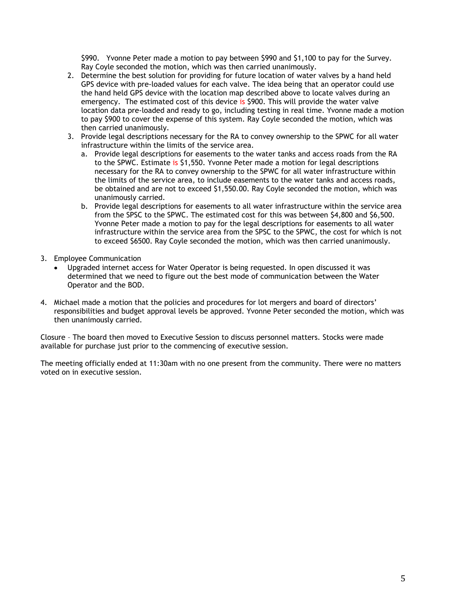\$990. Yvonne Peter made a motion to pay between \$990 and \$1,100 to pay for the Survey. Ray Coyle seconded the motion, which was then carried unanimously.

- 2. Determine the best solution for providing for future location of water valves by a hand held GPS device with pre-loaded values for each valve. The idea being that an operator could use the hand held GPS device with the location map described above to locate valves during an emergency. The estimated cost of this device is \$900. This will provide the water valve location data pre-loaded and ready to go, including testing in real time. Yvonne made a motion to pay \$900 to cover the expense of this system. Ray Coyle seconded the motion, which was then carried unanimously.
- 3. Provide legal descriptions necessary for the RA to convey ownership to the SPWC for all water infrastructure within the limits of the service area.
	- a. Provide legal descriptions for easements to the water tanks and access roads from the RA to the SPWC. Estimate is \$1,550. Yvonne Peter made a motion for legal descriptions necessary for the RA to convey ownership to the SPWC for all water infrastructure within the limits of the service area, to include easements to the water tanks and access roads, be obtained and are not to exceed \$1,550.00. Ray Coyle seconded the motion, which was unanimously carried.
	- b. Provide legal descriptions for easements to all water infrastructure within the service area from the SPSC to the SPWC. The estimated cost for this was between \$4,800 and \$6,500. Yvonne Peter made a motion to pay for the legal descriptions for easements to all water infrastructure within the service area from the SPSC to the SPWC, the cost for which is not to exceed \$6500. Ray Coyle seconded the motion, which was then carried unanimously.
- 3. Employee Communication
	- Upgraded internet access for Water Operator is being requested. In open discussed it was determined that we need to figure out the best mode of communication between the Water Operator and the BOD.
- 4. Michael made a motion that the policies and procedures for lot mergers and board of directors' responsibilities and budget approval levels be approved. Yvonne Peter seconded the motion, which was then unanimously carried.

Closure – The board then moved to Executive Session to discuss personnel matters. Stocks were made available for purchase just prior to the commencing of executive session.

The meeting officially ended at 11:30am with no one present from the community. There were no matters voted on in executive session.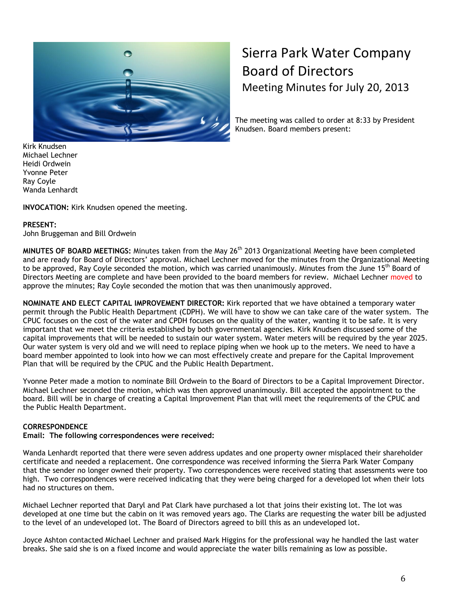

## Sierra Park Water Company Board of Directors Meeting Minutes for July 20, 2013

The meeting was called to order at 8:33 by President Knudsen. Board members present:

Kirk Knudsen Michael Lechner Heidi Ordwein Yvonne Peter Ray Coyle Wanda Lenhardt

**INVOCATION:** Kirk Knudsen opened the meeting.

#### **PRESENT:**

John Bruggeman and Bill Ordwein

**MINUTES OF BOARD MEETINGS:** Minutes taken from the May 26<sup>th</sup> 2013 Organizational Meeting have been completed and are ready for Board of Directors' approval. Michael Lechner moved for the minutes from the Organizational Meeting to be approved, Ray Coyle seconded the motion, which was carried unanimously. Minutes from the June 15<sup>th</sup> Board of Directors Meeting are complete and have been provided to the board members for review. Michael Lechner moved to approve the minutes; Ray Coyle seconded the motion that was then unanimously approved.

**NOMINATE AND ELECT CAPITAL IMPROVEMENT DIRECTOR:** Kirk reported that we have obtained a temporary water permit through the Public Health Department (CDPH). We will have to show we can take care of the water system. The CPUC focuses on the cost of the water and CPDH focuses on the quality of the water, wanting it to be safe. It is very important that we meet the criteria established by both governmental agencies. Kirk Knudsen discussed some of the capital improvements that will be needed to sustain our water system. Water meters will be required by the year 2025. Our water system is very old and we will need to replace piping when we hook up to the meters. We need to have a board member appointed to look into how we can most effectively create and prepare for the Capital Improvement Plan that will be required by the CPUC and the Public Health Department.

Yvonne Peter made a motion to nominate Bill Ordwein to the Board of Directors to be a Capital Improvement Director. Michael Lechner seconded the motion, which was then approved unanimously. Bill accepted the appointment to the board. Bill will be in charge of creating a Capital Improvement Plan that will meet the requirements of the CPUC and the Public Health Department.

#### **CORRESPONDENCE**

**Email: The following correspondences were received:**

Wanda Lenhardt reported that there were seven address updates and one property owner misplaced their shareholder certificate and needed a replacement. One correspondence was received informing the Sierra Park Water Company that the sender no longer owned their property. Two correspondences were received stating that assessments were too high. Two correspondences were received indicating that they were being charged for a developed lot when their lots had no structures on them.

Michael Lechner reported that Daryl and Pat Clark have purchased a lot that joins their existing lot. The lot was developed at one time but the cabin on it was removed years ago. The Clarks are requesting the water bill be adjusted to the level of an undeveloped lot. The Board of Directors agreed to bill this as an undeveloped lot.

Joyce Ashton contacted Michael Lechner and praised Mark Higgins for the professional way he handled the last water breaks. She said she is on a fixed income and would appreciate the water bills remaining as low as possible.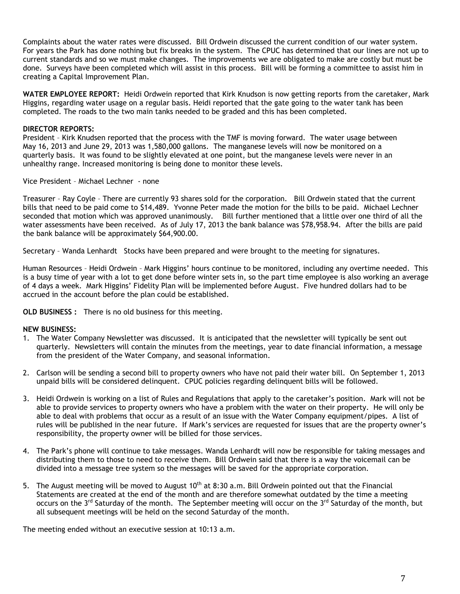Complaints about the water rates were discussed. Bill Ordwein discussed the current condition of our water system. For years the Park has done nothing but fix breaks in the system. The CPUC has determined that our lines are not up to current standards and so we must make changes. The improvements we are obligated to make are costly but must be done. Surveys have been completed which will assist in this process. Bill will be forming a committee to assist him in creating a Capital Improvement Plan.

**WATER EMPLOYEE REPORT:** Heidi Ordwein reported that Kirk Knudson is now getting reports from the caretaker, Mark Higgins, regarding water usage on a regular basis. Heidi reported that the gate going to the water tank has been completed. The roads to the two main tanks needed to be graded and this has been completed.

#### **DIRECTOR REPORTS:**

President – Kirk Knudsen reported that the process with the TMF is moving forward. The water usage between May 16, 2013 and June 29, 2013 was 1,580,000 gallons. The manganese levels will now be monitored on a quarterly basis. It was found to be slightly elevated at one point, but the manganese levels were never in an unhealthy range. Increased monitoring is being done to monitor these levels.

Vice President – Michael Lechner - none

Treasurer – Ray Coyle – There are currently 93 shares sold for the corporation. Bill Ordwein stated that the current bills that need to be paid come to \$14,489. Yvonne Peter made the motion for the bills to be paid. Michael Lechner seconded that motion which was approved unanimously. Bill further mentioned that a little over one third of all the water assessments have been received. As of July 17, 2013 the bank balance was \$78,958.94. After the bills are paid the bank balance will be approximately \$64,900.00.

Secretary – Wanda Lenhardt Stocks have been prepared and were brought to the meeting for signatures.

Human Resources – Heidi Ordwein – Mark Higgins' hours continue to be monitored, including any overtime needed. This is a busy time of year with a lot to get done before winter sets in, so the part time employee is also working an average of 4 days a week. Mark Higgins' Fidelity Plan will be implemented before August. Five hundred dollars had to be accrued in the account before the plan could be established.

**OLD BUSINESS :** There is no old business for this meeting.

#### **NEW BUSINESS:**

- 1. The Water Company Newsletter was discussed. It is anticipated that the newsletter will typically be sent out quarterly. Newsletters will contain the minutes from the meetings, year to date financial information, a message from the president of the Water Company, and seasonal information.
- 2. Carlson will be sending a second bill to property owners who have not paid their water bill. On September 1, 2013 unpaid bills will be considered delinquent. CPUC policies regarding delinquent bills will be followed.
- 3. Heidi Ordwein is working on a list of Rules and Regulations that apply to the caretaker's position. Mark will not be able to provide services to property owners who have a problem with the water on their property. He will only be able to deal with problems that occur as a result of an issue with the Water Company equipment/pipes. A list of rules will be published in the near future. If Mark's services are requested for issues that are the property owner's responsibility, the property owner will be billed for those services.
- 4. The Park's phone will continue to take messages. Wanda Lenhardt will now be responsible for taking messages and distributing them to those to need to receive them. Bill Ordwein said that there is a way the voicemail can be divided into a message tree system so the messages will be saved for the appropriate corporation.
- 5. The August meeting will be moved to August  $10^{th}$  at 8:30 a.m. Bill Ordwein pointed out that the Financial Statements are created at the end of the month and are therefore somewhat outdated by the time a meeting occurs on the 3<sup>rd</sup> Saturday of the month. The September meeting will occur on the 3<sup>rd</sup> Saturday of the month, but all subsequent meetings will be held on the second Saturday of the month.

The meeting ended without an executive session at 10:13 a.m.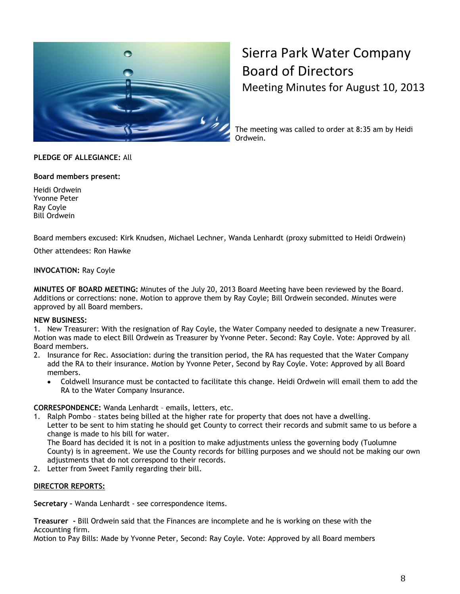

## Sierra Park Water Company Board of Directors Meeting Minutes for August 10, 2013

The meeting was called to order at 8:35 am by Heidi Ordwein.

#### **PLEDGE OF ALLEGIANCE:** All

#### **Board members present:**

Heidi Ordwein Yvonne Peter Ray Coyle Bill Ordwein

Board members excused: Kirk Knudsen, Michael Lechner, Wanda Lenhardt (proxy submitted to Heidi Ordwein)

Other attendees: Ron Hawke

#### **INVOCATION:** Ray Coyle

**MINUTES OF BOARD MEETING:** Minutes of the July 20, 2013 Board Meeting have been reviewed by the Board. Additions or corrections: none. Motion to approve them by Ray Coyle; Bill Ordwein seconded. Minutes were approved by all Board members.

#### **NEW BUSINESS:**

1. New Treasurer: With the resignation of Ray Coyle, the Water Company needed to designate a new Treasurer. Motion was made to elect Bill Ordwein as Treasurer by Yvonne Peter. Second: Ray Coyle. Vote: Approved by all Board members.

- 2. Insurance for Rec. Association: during the transition period, the RA has requested that the Water Company add the RA to their insurance. Motion by Yvonne Peter, Second by Ray Coyle. Vote: Approved by all Board members.
	- Coldwell Insurance must be contacted to facilitate this change. Heidi Ordwein will email them to add the  $\bullet$ RA to the Water Company Insurance.

#### **CORRESPONDENCE:** Wanda Lenhardt – emails, letters, etc.

1. Ralph Pombo – states being billed at the higher rate for property that does not have a dwelling. Letter to be sent to him stating he should get County to correct their records and submit same to us before a change is made to his bill for water. The Board has decided it is not in a position to make adjustments unless the governing body (Tuolumne County) is in agreement. We use the County records for billing purposes and we should not be making our own

adjustments that do not correspond to their records.

2. Letter from Sweet Family regarding their bill.

#### **DIRECTOR REPORTS:**

**Secretary –** Wanda Lenhardt - see correspondence items.

**Treasurer -** Bill Ordwein said that the Finances are incomplete and he is working on these with the Accounting firm.

Motion to Pay Bills: Made by Yvonne Peter, Second: Ray Coyle. Vote: Approved by all Board members